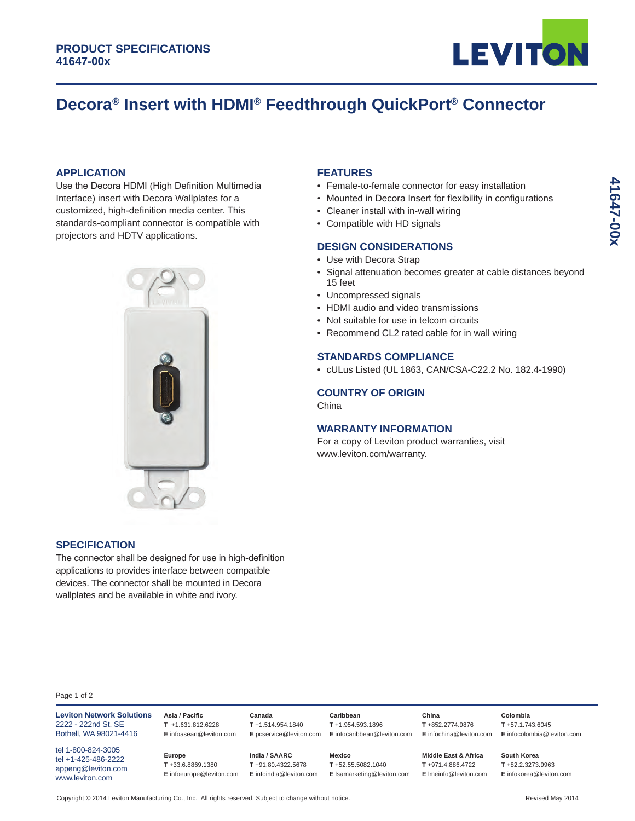

# **Decora® Insert with HDMI® Feedthrough QuickPort® Connector**

## **APPLICATION**

Use the Decora HDMI (High Definition Multimedia Interface) insert with Decora Wallplates for a customized, high-definition media center. This standards-compliant connector is compatible with projectors and HDTV applications.



#### **FEATURES**

- Female-to-female connector for easy installation
- Mounted in Decora Insert for flexibility in configurations
- Cleaner install with in-wall wiring
- Compatible with HD signals

## **DESIGN CONSIDERATIONS**

- Use with Decora Strap
- Signal attenuation becomes greater at cable distances beyond 15 feet
- Uncompressed signals
- HDMI audio and video transmissions
- Not suitable for use in telcom circuits
- Recommend CL2 rated cable for in wall wiring

# **STANDARDS COMPLIANCE**

• cULus Listed (UL 1863, CAN/CSA-C22.2 No. 182.4-1990)

**T** +971.4.886.4722 **E** lmeinfo@leviton.com

# **COUNTRY OF ORIGIN**

China

# **WARRANTY INFORMATION**

For a copy of Leviton product warranties, visit www.leviton.com/warranty.

#### **SPECIFICATION**

Page 1 of 2

appeng@leviton.com www.leviton.com

The connector shall be designed for use in high-definition applications to provides interface between compatible devices. The connector shall be mounted in Decora wallplates and be available in white and ivory.

**Leviton Network Solutions Asia / Pacific** 2222 - 222nd St. SE Bothell, WA 98021-4416 tel 1-800-824-3005 tel +1-425-486-2222 **T** +1.631.812.6228 **E** infoasean@leviton.com **Canada T** +1.514.954.1840 **E** pcservice@leviton.com **E** infocaribbean@leviton.com **Caribbean T** +1.954.593.1896 **China T** +852.2774.9876 **Europe India / SAARC Mexico Middle East & Africa**

**E** infoeurope@leviton.com **E** infoindia@leviton.com **E** lsamarketing@leviton.com

**T** +52.55.5082.1040

**T** +91.80.4322.5678

**E** infochina@leviton.com **E** infocolombia@leviton.com **Colombia T** +57.1.743.6045

> **South Korea T** +82.2.3273.9963 **E** infokorea@leviton.com

Copyright © 2014 Leviton Manufacturing Co., Inc. All rights reserved. Subject to change without notice. Revised May 2014

**T** +33.6.8869.1380